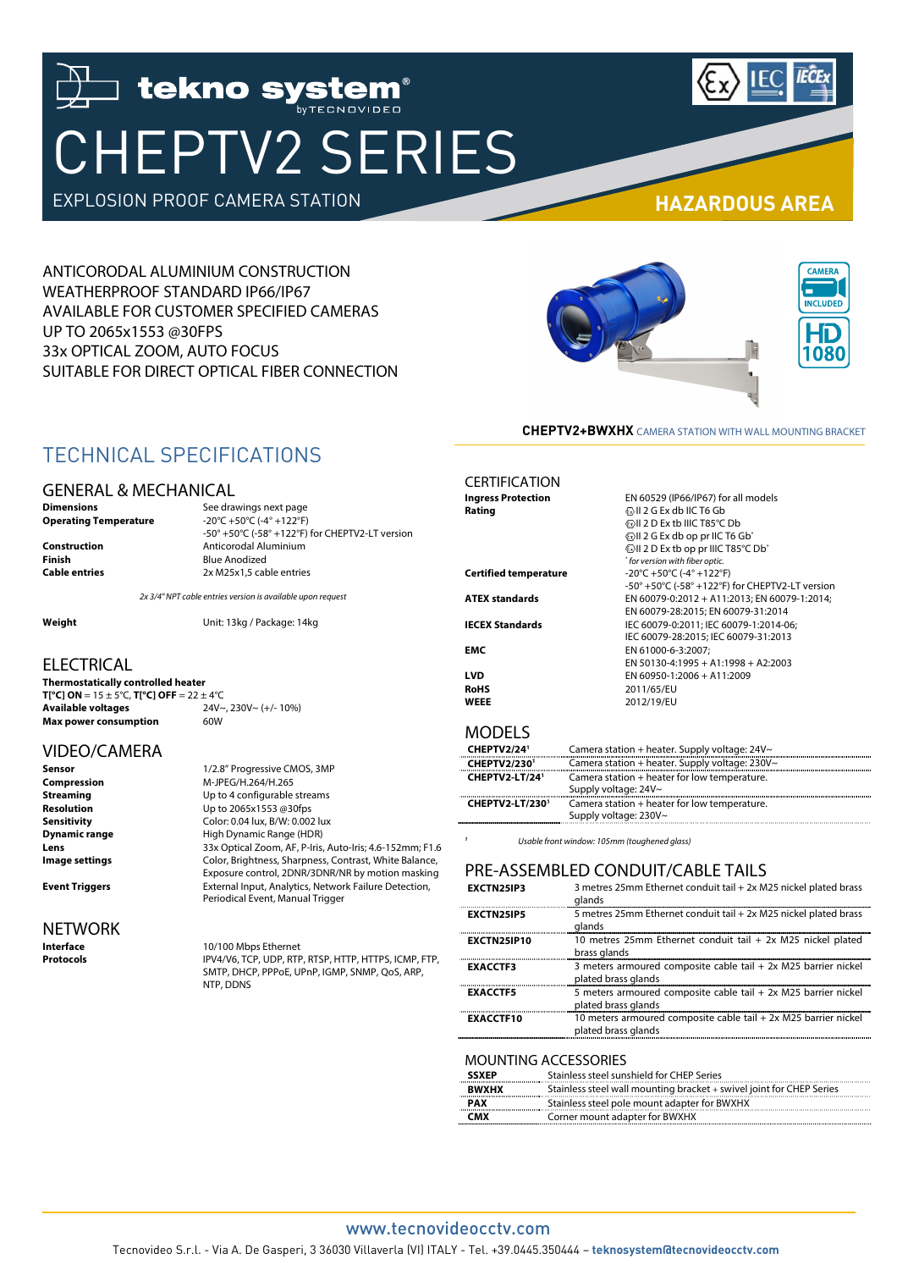**1 tekno system®**<br>T **tekno system®** 

# CHEPTV2 SERIES

EXPLOSION PROOF CAMERA STATION



ANTICORODAL ALUMINIUM CONSTRUCTION WEATHERPROOF STANDARD IP66/IP67 AVAILABLE FOR CUSTOMER SPECIFIED CAMERAS UP TO 2065x1553 @30FPS 33x OPTICAL ZOOM, AUTO FOCUS SUITABLE FOR DIRECT OPTICAL FIBER CONNECTION



 **CHEPTV2+BWXHX** CAMERA STATION WITH WALL MOUNTING BRACKET

II 2 D Ex tb IIIC T85°C Db

## TECHNICAL SPECIFICATIONS

# **GENERAL & MECHANICAL**<br>Dimensions See dra

**Operating Temperature** 

See drawings next page<br>-20°C +50°C (-4° +122°F) -50° +50°C (-58° +122°F) for CHEPTV2-LT version **Construction**<br> **Construction**<br> **Construction**<br> **Rive Anodized Finish**<br> **Cable entries**<br> **Cable entries**<br> **Cable entries Cable entries** 2x M25x1,5 cable entries

2x 3/4" NPT cable entries version is available upon request

**Weight** Unit: 13kg / Package: 14kg

**ELECTRICAL Thermostatically controlled heater T[°C] ON** =  $15 \pm 5$ °C, **T[°C] OFF** =  $22 \pm 4$ °C **Available voltages** 24V~, 230V~ (+/- 10%) **Max power consumption** 

# VIDEO/CAMERA

NETWORK<br>Interface

**Sensor 1/2.8"** Progressive CMOS, 3MP<br> **Compression** M-JPEG/H.264/H.265 **Compression** M-JPEG/H.264/H.265 **Streaming** Up to 4 configurable streams<br> **Resolution** Up to 2065x1553 @30fps **Resolution** Up to 2065x1553 @30fps **Sensitivity Color:** 0.04 lux, B/W: 0.002 lux<br> **Dynamic range** High Dynamic Range (HDR) **High Dynamic Range (HDR) Lens 133x** Optical Zoom, AF, P-Iris, Auto-Iris; 4.6-152mm; F1.6<br> **Image settings 153x** Color, Brightness, Sharpness, Contrast, White Balance, **Image settings** Color, Brightness, Sharpness, Contrast, White Balance, Exposure control, 2DNR/3DNR/NR by motion masking **Event Triggers** External Input, Analytics, Network Failure Detection, Periodical Event, Manual Trigger

**Interface** 10/100 Mbps Ethernet **Protocols** IPV4/V6, TCP, UDP, RTP, RTSP, HTTP, HTTPS, ICMP, FTP, SMTP, DHCP, PPPoE, UPnP, IGMP, SNMP, QoS, ARP, NTP, DDNS

CERTIFICATION **Ingress Protection** EN 60529 (IP66/IP67) for all models **Rating COMPUTER II 2 G Ex db IIC T6 Gb** 

|                              | Use II 2 G Ex db op pr IIC T6 Gb<br>tall 2 D Ex tb op pr IIIC T85°C Db*<br>* for version with fiber optic.            |
|------------------------------|-----------------------------------------------------------------------------------------------------------------------|
| <b>Certified temperature</b> | $-20^{\circ}$ C +50 $^{\circ}$ C (-4 $^{\circ}$ +122 $^{\circ}$ F)<br>-50° +50°C (-58° +122°F) for CHEPTV2-LT version |
| <b>ATEX standards</b>        | EN 60079-0:2012 + A11:2013: EN 60079-1:2014:                                                                          |
| <b>IECEX Standards</b>       | EN 60079-28:2015: EN 60079-31:2014<br>IEC 60079-0:2011: IEC 60079-1:2014-06:                                          |
| <b>EMC</b>                   | IEC 60079-28:2015: IEC 60079-31:2013<br>EN 61000-6-3:2007:                                                            |
| <b>LVD</b>                   | EN 50130-4:1995 + A1:1998 + A2:2003<br>EN 60950-1:2006 + A11:2009                                                     |
| <b>RoHS</b>                  | 2011/65/EU                                                                                                            |
| <b>WEEE</b>                  | 2012/19/EU                                                                                                            |

## MODELS

| CHEPTV2/24 <sup>1</sup>    | Camera station + heater. Supply voltage: $24V \sim$ |
|----------------------------|-----------------------------------------------------|
| <b>CHEPTV2/2301</b>        | Camera station + heater. Supply voltage: 230V~      |
| CHEPTV2-LT/24 <sup>1</sup> | Camera station + heater for low temperature.        |
|                            | Supply voltage: $24V \sim$                          |
| <b>CHEPTV2-LT/2301</b>     | Camera station + heater for low temperature.        |
|                            | Supply voltage: $230V~$                             |

**1** Usable front window: 105mm (toughened glass)

### PRE-ASSEMBLED CONDUIT/CABLE TAILS

| 3 metres 25mm Ethernet conduit tail + 2x M25 nickel plated brass |
|------------------------------------------------------------------|
| 5 metres 25mm Ethernet conduit tail + 2x M25 nickel plated brass |
| 10 metres 25mm Ethernet conduit tail + 2x M25 nickel plated      |
| 3 meters armoured composite cable tail + 2x M25 barrier nickel   |
| 5 meters armoured composite cable tail + 2x M25 barrier nickel   |
| 10 meters armoured composite cable tail + 2x M25 barrier nickel  |
|                                                                  |

#### MOUNTING ACCESSORIES

| <b>CCYFD</b> | Stainless steel sunshield for CHEP Series                            |
|--------------|----------------------------------------------------------------------|
| <b>RWXHX</b> | Stainless steel wall mounting bracket + swivel joint for CHEP Series |
| PAY          | Stainless steel pole mount adapter for BWXHX                         |
| гм х         | Corner mount adapter for BWXHX<br>-------------------                |

## www.tecnovideocctv.com